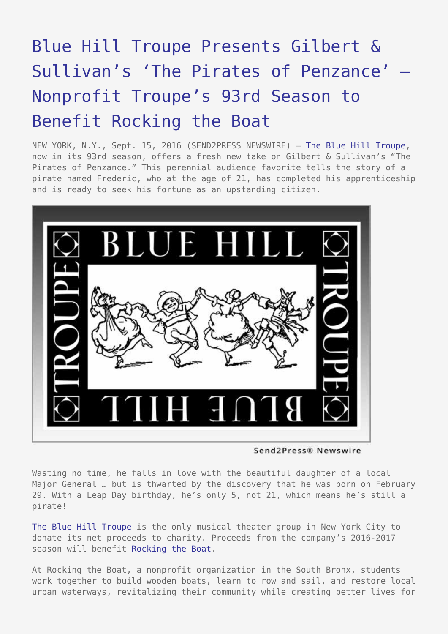## [Blue Hill Troupe Presents Gilbert &](https://www.send2press.com/wire/blue-hill-troupe-presents-gilbert-sullivans-the-pirates-of-penzance-nonprofit-troupes-93rd-season-to-benefit-rocking-the-boat/) [Sullivan's 'The Pirates of Penzance' –](https://www.send2press.com/wire/blue-hill-troupe-presents-gilbert-sullivans-the-pirates-of-penzance-nonprofit-troupes-93rd-season-to-benefit-rocking-the-boat/) [Nonprofit Troupe's 93rd Season to](https://www.send2press.com/wire/blue-hill-troupe-presents-gilbert-sullivans-the-pirates-of-penzance-nonprofit-troupes-93rd-season-to-benefit-rocking-the-boat/) [Benefit Rocking the Boat](https://www.send2press.com/wire/blue-hill-troupe-presents-gilbert-sullivans-the-pirates-of-penzance-nonprofit-troupes-93rd-season-to-benefit-rocking-the-boat/)

NEW YORK, N.Y., Sept. 15, 2016 (SEND2PRESS NEWSWIRE) — [The Blue Hill Troupe](http://bht.org/), now in its 93rd season, offers a fresh new take on Gilbert & Sullivan's "The Pirates of Penzance." This perennial audience favorite tells the story of a pirate named Frederic, who at the age of 21, has completed his apprenticeship and is ready to seek his fortune as an upstanding citizen.



Send2Press® Newswire

Wasting no time, he falls in love with the beautiful daughter of a local Major General … but is thwarted by the discovery that he was born on February 29. With a Leap Day birthday, he's only 5, not 21, which means he's still a pirate!

[The Blue Hill Troupe](http://bht.org) is the only musical theater group in New York City to donate its net proceeds to charity. Proceeds from the company's 2016-2017 season will benefit [Rocking the Boat.](http://www.rockingtheboat.org/)

At Rocking the Boat, a nonprofit organization in the South Bronx, students work together to build wooden boats, learn to row and sail, and restore local urban waterways, revitalizing their community while creating better lives for